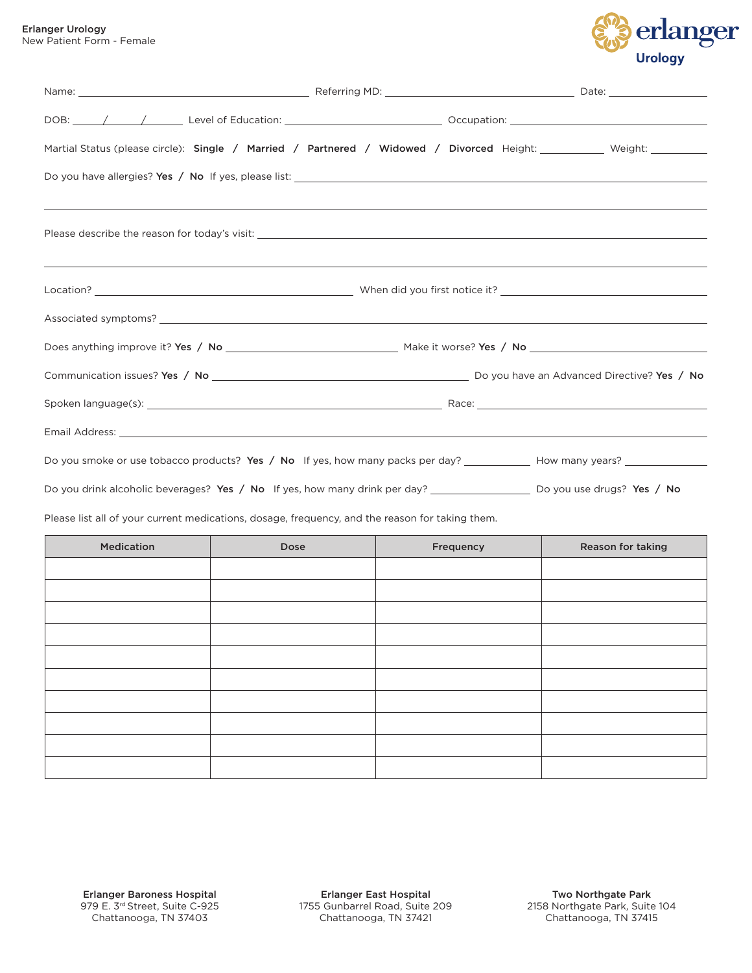

| Lilanger vrology          |  |
|---------------------------|--|
| New Patient Form - Female |  |

| Martial Status (please circle): Single / Married / Partnered / Widowed / Divorced Height: _________ Weight: _________                                                                                                         |  |  |
|-------------------------------------------------------------------------------------------------------------------------------------------------------------------------------------------------------------------------------|--|--|
|                                                                                                                                                                                                                               |  |  |
| Please describe the reason for today's visit: National Communication of the control of the control of the control of the control of the control of the control of the control of the control of the control of the control of |  |  |
|                                                                                                                                                                                                                               |  |  |
|                                                                                                                                                                                                                               |  |  |
|                                                                                                                                                                                                                               |  |  |
|                                                                                                                                                                                                                               |  |  |
|                                                                                                                                                                                                                               |  |  |
|                                                                                                                                                                                                                               |  |  |
| Do you smoke or use tobacco products? Yes / No If yes, how many packs per day? ____________ How many years? __________                                                                                                        |  |  |
| Do you drink alcoholic beverages? Yes / No If yes, how many drink per day? _______________________ Do you use drugs? Yes / No                                                                                                 |  |  |
| Please list all of your current medications, dosage, frequency, and the reason for taking them.                                                                                                                               |  |  |

| Medication | Dose | Frequency | Reason for taking |
|------------|------|-----------|-------------------|
|            |      |           |                   |
|            |      |           |                   |
|            |      |           |                   |
|            |      |           |                   |
|            |      |           |                   |
|            |      |           |                   |
|            |      |           |                   |
|            |      |           |                   |
|            |      |           |                   |
|            |      |           |                   |
|            |      |           |                   |

Erlanger East Hospital 1755 Gunbarrel Road, Suite 209 Chattanooga, TN 37421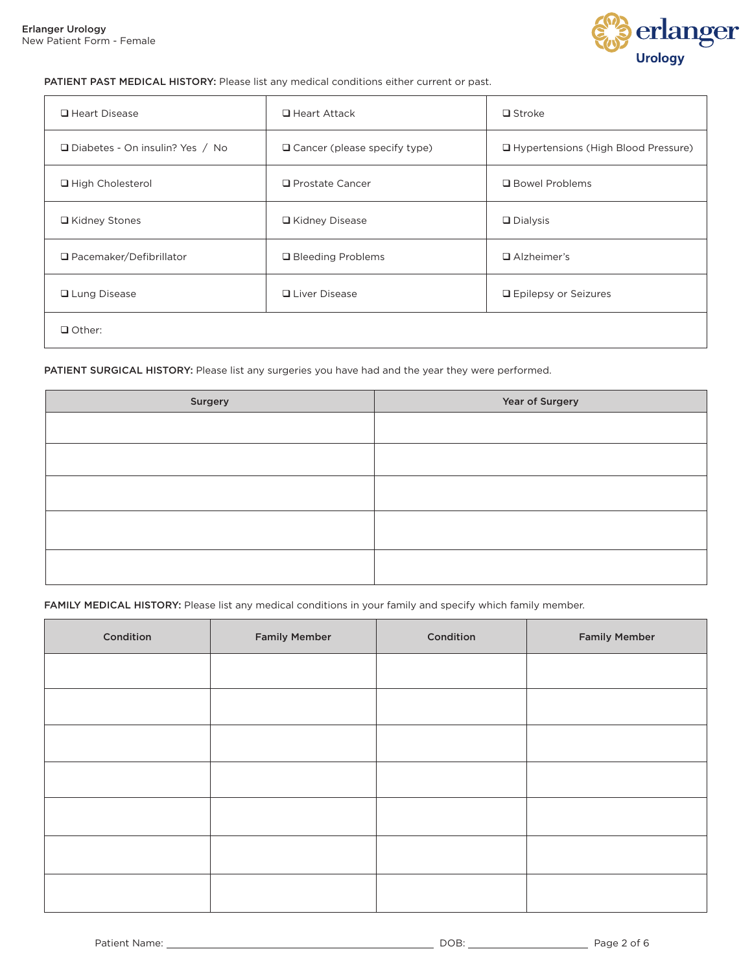

## PATIENT PAST MEDICAL HISTORY: Please list any medical conditions either current or past.

| $\Box$ Heart Disease                   | $\Box$ Heart Attack            | $\Box$ Stroke                         |
|----------------------------------------|--------------------------------|---------------------------------------|
| $\Box$ Diabetes - On insulin? Yes / No | □ Cancer (please specify type) | □ Hypertensions (High Blood Pressure) |
| □ High Cholesterol                     | $\Box$ Prostate Cancer         | □ Bowel Problems                      |
| □ Kidney Stones                        | □ Kidney Disease               | $\Box$ Dialysis                       |
| $\Box$ Pacemaker/Defibrillator         | □ Bleeding Problems            | $\Box$ Alzheimer's                    |
| <b>□</b> Lung Disease                  | $\Box$ Liver Disease           | □ Epilepsy or Seizures                |
| $\Box$ Other:                          |                                |                                       |

PATIENT SURGICAL HISTORY: Please list any surgeries you have had and the year they were performed.

| Year of Surgery |
|-----------------|
|                 |
|                 |
|                 |
|                 |
|                 |
|                 |
|                 |
|                 |

FAMILY MEDICAL HISTORY: Please list any medical conditions in your family and specify which family member.

| Condition | <b>Family Member</b> | Condition | <b>Family Member</b> |
|-----------|----------------------|-----------|----------------------|
|           |                      |           |                      |
|           |                      |           |                      |
|           |                      |           |                      |
|           |                      |           |                      |
|           |                      |           |                      |
|           |                      |           |                      |
|           |                      |           |                      |
|           |                      |           |                      |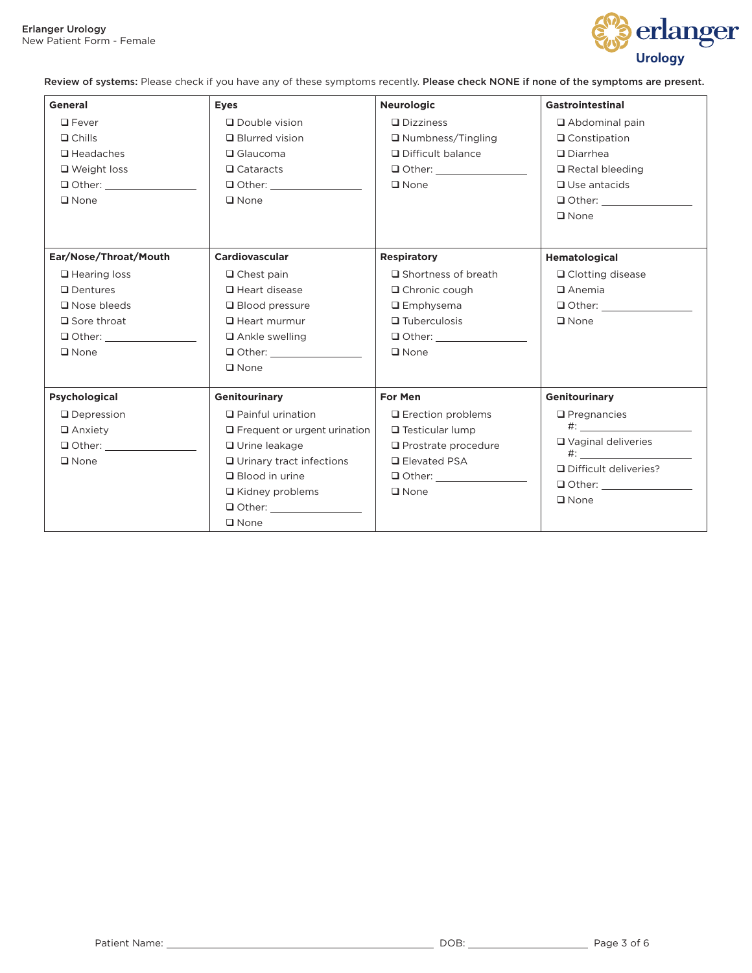

Review of systems: Please check if you have any of these symptoms recently. Please check NONE if none of the symptoms are present.

| <b>General</b>                                                                                                               | <b>Eyes</b>                                                                                                                                                                                                                         | <b>Neurologic</b>                                                                                                                                    | <b>Gastrointestinal</b>                                                                                            |
|------------------------------------------------------------------------------------------------------------------------------|-------------------------------------------------------------------------------------------------------------------------------------------------------------------------------------------------------------------------------------|------------------------------------------------------------------------------------------------------------------------------------------------------|--------------------------------------------------------------------------------------------------------------------|
| $\Box$ Fever                                                                                                                 | Double vision                                                                                                                                                                                                                       | $\Box$ Dizziness                                                                                                                                     | $\Box$ Abdominal pain                                                                                              |
| $\Box$ Chills<br>$\Box$ Headaches<br>$\Box$ Weight loss<br>$\square$ None                                                    | $\Box$ Blurred vision<br>$\Box$ Glaucoma<br>$\Box$ Cataracts<br>$\Box$ Other:<br>$\square$ None                                                                                                                                     | $\Box$ Numbness/Tingling<br>□ Difficult balance<br>$\Box$ Other: $\Box$<br>$\Box$ None                                                               | $\Box$ Constipation<br>$\Box$ Diarrhea<br>$\Box$ Rectal bleeding<br>$\Box$ Use antacids<br>$\Box$ Other:           |
| Ear/Nose/Throat/Mouth                                                                                                        | <b>Cardiovascular</b>                                                                                                                                                                                                               | <b>Respiratory</b>                                                                                                                                   | $\Box$ None<br>Hematological                                                                                       |
| $\Box$ Hearing loss<br>$\Box$ Dentures<br>$\Box$ Nose bleeds<br>$\Box$ Sore throat<br>$\Box$ Other: $\Box$<br>$\square$ None | $\Box$ Chest pain<br>$\Box$ Heart disease<br>$\Box$ Blood pressure<br>$\Box$ Heart murmur<br>$\Box$ Ankle swelling<br>□ Other: __________________<br>$\square$ None                                                                 | $\Box$ Shortness of breath<br>$\Box$ Chronic cough<br>$\Box$ Emphysema<br>$\Box$ Tuberculosis<br>$\Box$ Other:<br>$\Box$ None                        | $\Box$ Clotting disease<br>$\Box$ Anemia<br>$\Box$ Other:<br>$\Box$ None                                           |
| <b>Psychological</b><br>$\Box$ Depression<br>$\Box$ Anxiety<br>$\Box$ Other:<br>$\square$ None                               | <b>Genitourinary</b><br>$\Box$ Painful urination<br>$\Box$ Frequent or urgent urination<br>□ Urine leakage<br>$\Box$ Urinary tract infections<br>$\Box$ Blood in urine<br>$\Box$ Kidney problems<br>$\Box$ Other:<br>$\square$ None | For Men<br>$\Box$ Erection problems<br>$\Box$ Testicular lump<br>$\Box$ Prostrate procedure<br><b>□</b> Elevated PSA<br>$\Box$ Other:<br>$\Box$ None | Genitourinary<br>$\Box$ Pregnancies<br>$\#$ :<br>$\Box$ Vaginal deliveries<br>Difficult deliveries?<br>$\Box$ None |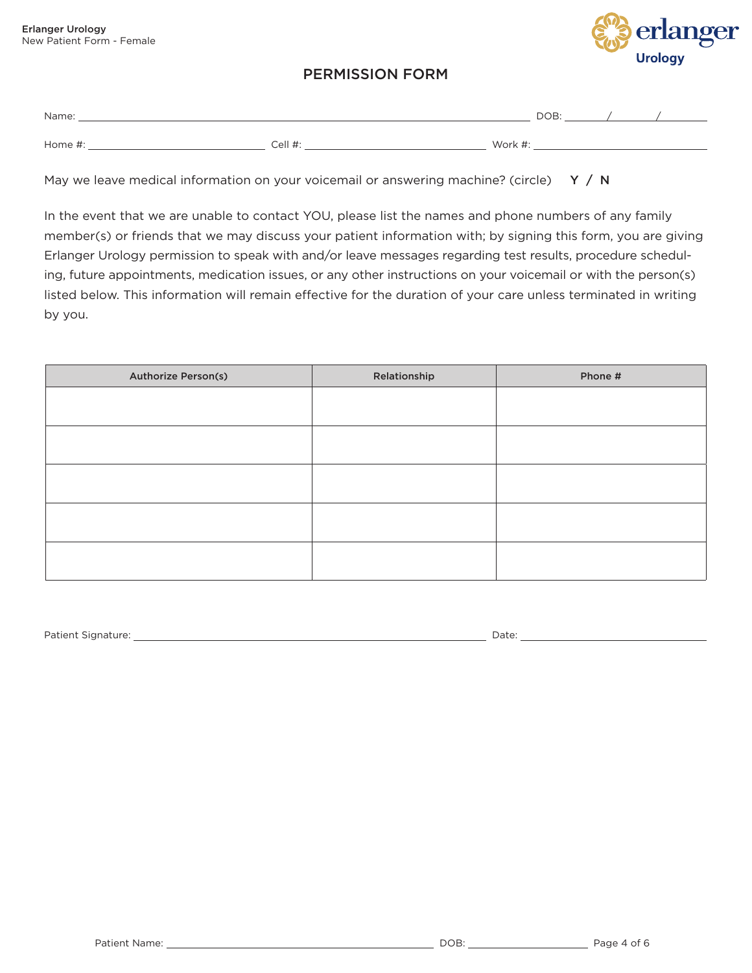

## PERMISSION FORM

| Name:   |         |         | DOB: |  |
|---------|---------|---------|------|--|
| Home #: | Cell #: | Work #. |      |  |

May we leave medical information on your voicemail or answering machine? (circle)  $Y / N$ 

In the event that we are unable to contact YOU, please list the names and phone numbers of any family member(s) or friends that we may discuss your patient information with; by signing this form, you are giving Erlanger Urology permission to speak with and/or leave messages regarding test results, procedure scheduling, future appointments, medication issues, or any other instructions on your voicemail or with the person(s) listed below. This information will remain effective for the duration of your care unless terminated in writing by you.

| <b>Authorize Person(s)</b> | Relationship | Phone # |
|----------------------------|--------------|---------|
|                            |              |         |
|                            |              |         |
|                            |              |         |
|                            |              |         |
|                            |              |         |
|                            |              |         |
|                            |              |         |
|                            |              |         |
|                            |              |         |
|                            |              |         |

Patient Signature: Date: Date: Date: Date: Date: Date: Date: Date: Date: Date: Date: Date: Date: Date: Date: Date: Date: Date: Date: Date: Date: Date: Date: Date: Date: Date: Date: Date: Date: Date: Date: Date: Date: Date: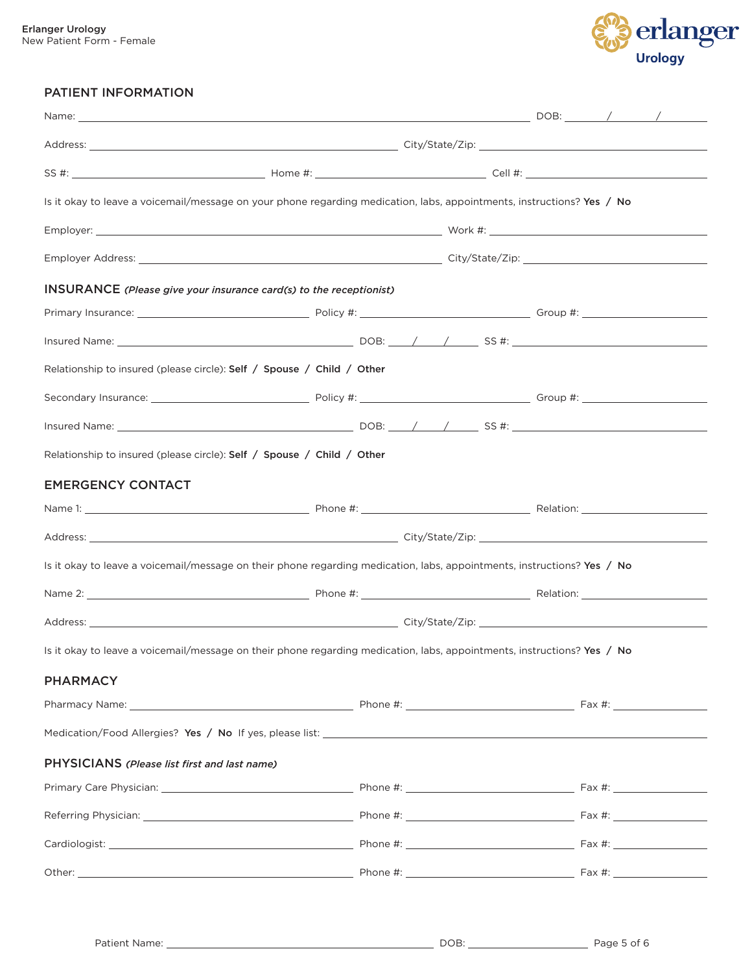

## PATIENT INFORMATION

| Is it okay to leave a voicemail/message on your phone regarding medication, labs, appointments, instructions? Yes / No  |  |  |  |  |  |
|-------------------------------------------------------------------------------------------------------------------------|--|--|--|--|--|
|                                                                                                                         |  |  |  |  |  |
|                                                                                                                         |  |  |  |  |  |
| <b>INSURANCE</b> (Please give your insurance card(s) to the receptionist)                                               |  |  |  |  |  |
|                                                                                                                         |  |  |  |  |  |
|                                                                                                                         |  |  |  |  |  |
| Relationship to insured (please circle): Self / Spouse / Child / Other                                                  |  |  |  |  |  |
|                                                                                                                         |  |  |  |  |  |
|                                                                                                                         |  |  |  |  |  |
| Relationship to insured (please circle): Self / Spouse / Child / Other                                                  |  |  |  |  |  |
| <b>EMERGENCY CONTACT</b>                                                                                                |  |  |  |  |  |
|                                                                                                                         |  |  |  |  |  |
|                                                                                                                         |  |  |  |  |  |
| Is it okay to leave a voicemail/message on their phone regarding medication, labs, appointments, instructions? Yes / No |  |  |  |  |  |
|                                                                                                                         |  |  |  |  |  |
|                                                                                                                         |  |  |  |  |  |
| Is it okay to leave a voicemail/message on their phone regarding medication, labs, appointments, instructions? Yes / No |  |  |  |  |  |
| <b>PHARMACY</b>                                                                                                         |  |  |  |  |  |
|                                                                                                                         |  |  |  |  |  |
|                                                                                                                         |  |  |  |  |  |
| PHYSICIANS (Please list first and last name)                                                                            |  |  |  |  |  |
|                                                                                                                         |  |  |  |  |  |
|                                                                                                                         |  |  |  |  |  |
|                                                                                                                         |  |  |  |  |  |
|                                                                                                                         |  |  |  |  |  |
|                                                                                                                         |  |  |  |  |  |